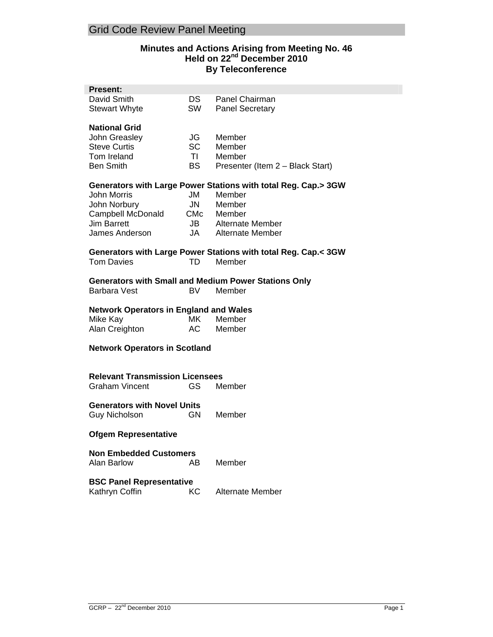# **Minutes and Actions Arising from Meeting No. 46 Held on 22nd December 2010 By Teleconference**

| <b>Present:</b>                                                |           |                                                                |
|----------------------------------------------------------------|-----------|----------------------------------------------------------------|
| David Smith                                                    | DS -      | Panel Chairman                                                 |
| <b>Stewart Whyte</b>                                           | SW        | <b>Panel Secretary</b>                                         |
|                                                                |           |                                                                |
| <b>National Grid</b>                                           |           |                                                                |
| John Greasley                                                  | JG        | Member                                                         |
| <b>Steve Curtis</b>                                            | <b>SC</b> | Member                                                         |
| Tom Ireland                                                    | TI.       | Member                                                         |
| <b>Ben Smith</b>                                               | <b>BS</b> |                                                                |
|                                                                |           | Presenter (Item 2 - Black Start)                               |
| Generators with Large Power Stations with total Reg. Cap.> 3GW |           |                                                                |
|                                                                | JM J      | Member                                                         |
| John Morris                                                    |           |                                                                |
| John Norbury                                                   | JN        | Member                                                         |
| Campbell McDonald                                              |           | CMc Member                                                     |
| <b>Jim Barrett</b>                                             |           | JB Alternate Member                                            |
| James Anderson                                                 |           | JA Alternate Member                                            |
|                                                                |           |                                                                |
|                                                                |           | Generators with Large Power Stations with total Reg. Cap.< 3GW |
| <b>Tom Davies</b>                                              | TD        | Member                                                         |
| <b>Generators with Small and Medium Power Stations Only</b>    |           |                                                                |
|                                                                |           |                                                                |
| <b>Barbara Vest</b>                                            | BV        | Member                                                         |
|                                                                |           |                                                                |
|                                                                |           |                                                                |
| <b>Network Operators in England and Wales</b>                  |           |                                                                |
| Mike Kay                                                       | MK l      | Member                                                         |
| Alan Creighton                                                 | AC        | Member                                                         |
|                                                                |           |                                                                |
| <b>Network Operators in Scotland</b>                           |           |                                                                |
|                                                                |           |                                                                |
|                                                                |           |                                                                |
| <b>Relevant Transmission Licensees</b>                         |           |                                                                |
| <b>Graham Vincent</b>                                          | GS.       | Member                                                         |
|                                                                |           |                                                                |
| <b>Generators with Novel Units</b>                             |           |                                                                |
| <b>Guy Nicholson</b>                                           | GN.       | Member                                                         |
|                                                                |           |                                                                |
| <b>Ofgem Representative</b>                                    |           |                                                                |
|                                                                |           |                                                                |
| <b>Non Embedded Customers</b>                                  |           |                                                                |
| <b>Alan Barlow</b>                                             | AB        | Member                                                         |
|                                                                |           |                                                                |
| <b>BSC Panel Representative</b>                                |           |                                                                |
| Kathryn Coffin                                                 | КC        | <b>Alternate Member</b>                                        |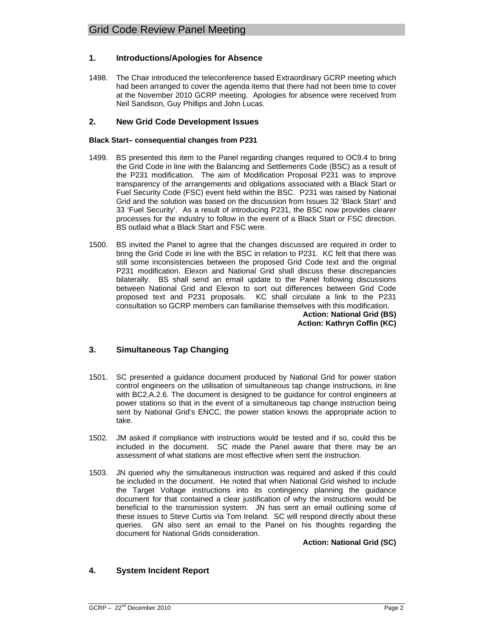## **1. Introductions/Apologies for Absence**

1498. The Chair introduced the teleconference based Extraordinary GCRP meeting which had been arranged to cover the agenda items that there had not been time to cover at the November 2010 GCRP meeting. Apologies for absence were received from Neil Sandison, Guy Phillips and John Lucas.

## **2. New Grid Code Development Issues**

### **Black Start– consequential changes from P231**

- 1499. BS presented this item to the Panel regarding changes required to OC9.4 to bring the Grid Code in line with the Balancing and Settlements Code (BSC) as a result of the P231 modification. The aim of Modification Proposal P231 was to improve transparency of the arrangements and obligations associated with a Black Start or Fuel Security Code (FSC) event held within the BSC. P231 was raised by National Grid and the solution was based on the discussion from Issues 32 'Black Start' and 33 'Fuel Security'. As a result of introducing P231, the BSC now provides clearer processes for the industry to follow in the event of a Black Start or FSC direction. BS outlaid what a Black Start and FSC were.
- 1500. BS invited the Panel to agree that the changes discussed are required in order to bring the Grid Code in line with the BSC in relation to P231. KC felt that there was still some inconsistencies between the proposed Grid Code text and the original P231 modification. Elexon and National Grid shall discuss these discrepancies bilaterally. BS shall send an email update to the Panel following discussions between National Grid and Elexon to sort out differences between Grid Code proposed text and P231 proposals. KC shall circulate a link to the P231 consultation so GCRP members can familiarise themselves with this modification.

**Action: National Grid (BS) Action: Kathryn Coffin (KC)**

# **3. Simultaneous Tap Changing**

- 1501. SC presented a guidance document produced by National Grid for power station control engineers on the utilisation of simultaneous tap change instructions, in line with BC2.A.2.6. The document is designed to be guidance for control engineers at power stations so that in the event of a simultaneous tap change instruction being sent by National Grid's ENCC, the power station knows the appropriate action to take.
- 1502. JM asked if compliance with instructions would be tested and if so, could this be included in the document. SC made the Panel aware that there may be an assessment of what stations are most effective when sent the instruction.
- 1503. JN queried why the simultaneous instruction was required and asked if this could be included in the document. He noted that when National Grid wished to include the Target Voltage instructions into its contingency planning the guidance document for that contained a clear justification of why the instructions would be beneficial to the transmission system. JN has sent an email outlining some of these issues to Steve Curtis via Tom Ireland. SC will respond directly about these queries. GN also sent an email to the Panel on his thoughts regarding the document for National Grids consideration.

**Action: National Grid (SC)**

# **4. System Incident Report**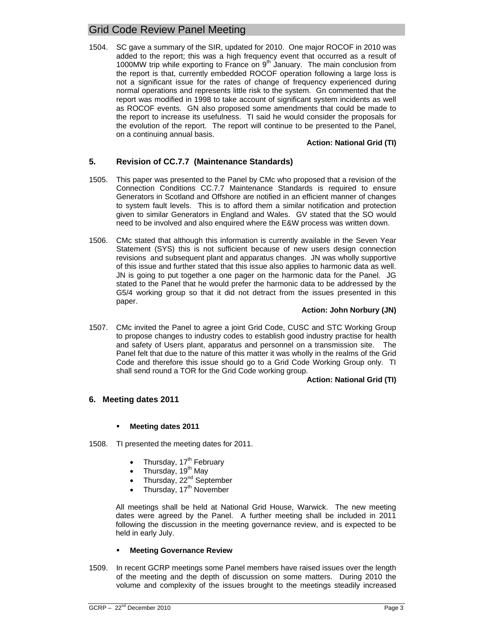1504. SC gave a summary of the SIR, updated for 2010. One major ROCOF in 2010 was added to the report; this was a high frequency event that occurred as a result of 1000MW trip while exporting to France on  $9<sup>th</sup>$  January. The main conclusion from the report is that, currently embedded ROCOF operation following a large loss is not a significant issue for the rates of change of frequency experienced during normal operations and represents little risk to the system. Gn commented that the report was modified in 1998 to take account of significant system incidents as well as ROCOF events. GN also proposed some amendments that could be made to the report to increase its usefulness. TI said he would consider the proposals for the evolution of the report. The report will continue to be presented to the Panel, on a continuing annual basis.

### **Action: National Grid (TI)**

## **5. Revision of CC.7.7 (Maintenance Standards)**

- 1505. This paper was presented to the Panel by CMc who proposed that a revision of the Connection Conditions CC.7.7 Maintenance Standards is required to ensure Generators in Scotland and Offshore are notified in an efficient manner of changes to system fault levels. This is to afford them a similar notification and protection given to similar Generators in England and Wales. GV stated that the SO would need to be involved and also enquired where the E&W process was written down.
- 1506. CMc stated that although this information is currently available in the Seven Year Statement (SYS) this is not sufficient because of new users design connection revisions and subsequent plant and apparatus changes. JN was wholly supportive of this issue and further stated that this issue also applies to harmonic data as well. JN is going to put together a one pager on the harmonic data for the Panel. JG stated to the Panel that he would prefer the harmonic data to be addressed by the G5/4 working group so that it did not detract from the issues presented in this paper.

### **Action: John Norbury (JN)**

1507. CMc invited the Panel to agree a joint Grid Code, CUSC and STC Working Group to propose changes to industry codes to establish good industry practise for health and safety of Users plant, apparatus and personnel on a transmission site. The Panel felt that due to the nature of this matter it was wholly in the realms of the Grid Code and therefore this issue should go to a Grid Code Working Group only. TI shall send round a TOR for the Grid Code working group.

#### **Action: National Grid (TI)**

### **6. Meeting dates 2011**

### **Meeting dates 2011**

1508. TI presented the meeting dates for 2011.

- Thursday, 17<sup>th</sup> February
- Thursday, 19<sup>th</sup> May
- Thursday, 22<sup>nd</sup> September
- Thursday, 17<sup>th</sup> November

All meetings shall be held at National Grid House, Warwick. The new meeting dates were agreed by the Panel. A further meeting shall be included in 2011 following the discussion in the meeting governance review, and is expected to be held in early July.

### **Meeting Governance Review**

1509. In recent GCRP meetings some Panel members have raised issues over the length of the meeting and the depth of discussion on some matters. During 2010 the volume and complexity of the issues brought to the meetings steadily increased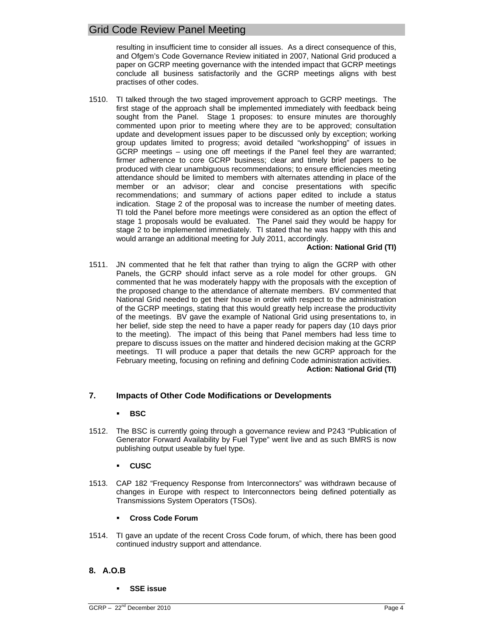resulting in insufficient time to consider all issues. As a direct consequence of this, and Ofgem's Code Governance Review initiated in 2007, National Grid produced a paper on GCRP meeting governance with the intended impact that GCRP meetings conclude all business satisfactorily and the GCRP meetings aligns with best practises of other codes.

1510. TI talked through the two staged improvement approach to GCRP meetings. The first stage of the approach shall be implemented immediately with feedback being sought from the Panel. Stage 1 proposes: to ensure minutes are thoroughly commented upon prior to meeting where they are to be approved; consultation update and development issues paper to be discussed only by exception; working group updates limited to progress; avoid detailed "workshopping" of issues in GCRP meetings – using one off meetings if the Panel feel they are warranted; firmer adherence to core GCRP business; clear and timely brief papers to be produced with clear unambiguous recommendations; to ensure efficiencies meeting attendance should be limited to members with alternates attending in place of the member or an advisor; clear and concise presentations with specific recommendations; and summary of actions paper edited to include a status indication. Stage 2 of the proposal was to increase the number of meeting dates. TI told the Panel before more meetings were considered as an option the effect of stage 1 proposals would be evaluated. The Panel said they would be happy for stage 2 to be implemented immediately. TI stated that he was happy with this and would arrange an additional meeting for July 2011, accordingly.

## **Action: National Grid (TI)**

1511. JN commented that he felt that rather than trying to align the GCRP with other Panels, the GCRP should infact serve as a role model for other groups. GN commented that he was moderately happy with the proposals with the exception of the proposed change to the attendance of alternate members. BV commented that National Grid needed to get their house in order with respect to the administration of the GCRP meetings, stating that this would greatly help increase the productivity of the meetings. BV gave the example of National Grid using presentations to, in her belief, side step the need to have a paper ready for papers day (10 days prior to the meeting). The impact of this being that Panel members had less time to prepare to discuss issues on the matter and hindered decision making at the GCRP meetings. TI will produce a paper that details the new GCRP approach for the February meeting, focusing on refining and defining Code administration activities. **Action: National Grid (TI)**

# **7. Impacts of Other Code Modifications or Developments**

# **BSC**

1512. The BSC is currently going through a governance review and P243 "Publication of Generator Forward Availability by Fuel Type" went live and as such BMRS is now publishing output useable by fuel type.

### **CUSC**

1513. CAP 182 "Frequency Response from Interconnectors" was withdrawn because of changes in Europe with respect to Interconnectors being defined potentially as Transmissions System Operators (TSOs).

### **Cross Code Forum**

1514. TI gave an update of the recent Cross Code forum, of which, there has been good continued industry support and attendance.

# **8. A.O.B**

**SSE issue**